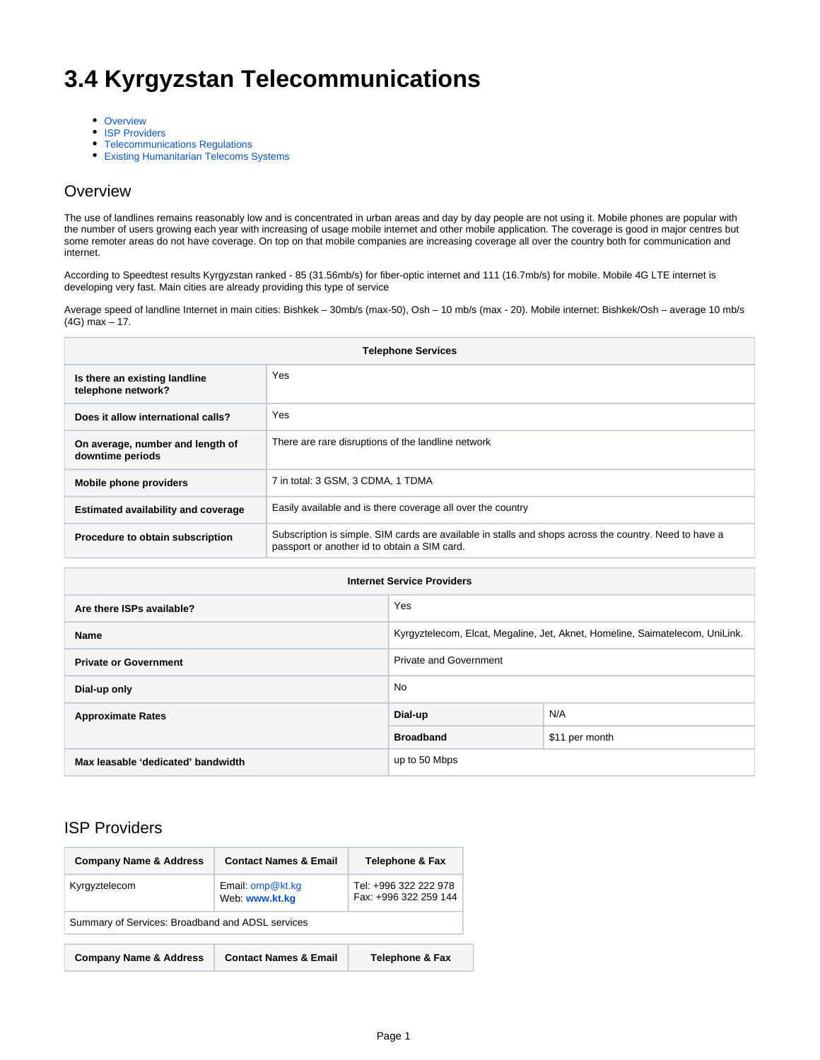# **3.4 Kyrgyzstan Telecommunications**

- [Overview](#page-0-0)
- **[ISP Providers](#page-0-1)**
- [Telecommunications Regulations](#page-1-0)
- [Existing Humanitarian Telecoms Systems](#page-2-0)

#### <span id="page-0-0"></span>**Overview**

The use of landlines remains reasonably low and is concentrated in urban areas and day by day people are not using it. Mobile phones are popular with the number of users growing each year with increasing of usage mobile internet and other mobile application. The coverage is good in major centres but some remoter areas do not have coverage. On top on that mobile companies are increasing coverage all over the country both for communication and internet.

According to Speedtest results Kyrgyzstan ranked - 85 (31.56mb/s) for fiber-optic internet and 111 (16.7mb/s) for mobile. Mobile 4G LTE internet is developing very fast. Main cities are already providing this type of service

Average speed of landline Internet in main cities: Bishkek – 30mb/s (max-50), Osh – 10 mb/s (max - 20). Mobile internet: Bishkek/Osh – average 10 mb/s (4G) max – 17.

| <b>Telephone Services</b>                            |                                                                                                                                                        |
|------------------------------------------------------|--------------------------------------------------------------------------------------------------------------------------------------------------------|
| Is there an existing landline<br>telephone network?  | Yes                                                                                                                                                    |
| Does it allow international calls?                   | Yes                                                                                                                                                    |
| On average, number and length of<br>downtime periods | There are rare disruptions of the landline network                                                                                                     |
| <b>Mobile phone providers</b>                        | 7 in total: 3 GSM, 3 CDMA, 1 TDMA                                                                                                                      |
| Estimated availability and coverage                  | Easily available and is there coverage all over the country                                                                                            |
| Procedure to obtain subscription                     | Subscription is simple. SIM cards are available in stalls and shops across the country. Need to have a<br>passport or another id to obtain a SIM card. |

| <b>Internet Service Providers</b>  |                                                                              |                |
|------------------------------------|------------------------------------------------------------------------------|----------------|
| Are there ISPs available?          | Yes                                                                          |                |
| <b>Name</b>                        | Kyrgyztelecom, Elcat, Megaline, Jet, Aknet, Homeline, Saimatelecom, UniLink. |                |
| <b>Private or Government</b>       | <b>Private and Government</b>                                                |                |
| Dial-up only                       | No.                                                                          |                |
| <b>Approximate Rates</b>           | Dial-up                                                                      | N/A            |
|                                    | <b>Broadband</b>                                                             | \$11 per month |
| Max leasable 'dedicated' bandwidth | up to 50 Mbps                                                                |                |

#### <span id="page-0-1"></span>ISP Providers

| <b>Company Name &amp; Address</b>                | <b>Contact Names &amp; Email</b>     | <b>Telephone &amp; Fax</b>                     |
|--------------------------------------------------|--------------------------------------|------------------------------------------------|
| Kyrgyztelecom                                    | Email: $omp@kt.kq$<br>Web: www.kt.kg | Tel: +996 322 222 978<br>Fax: +996 322 259 144 |
| Summary of Services: Broadband and ADSL services |                                      |                                                |
| <b>Company Name &amp; Address</b>                | <b>Contact Names &amp; Email</b>     | <b>Telephone &amp; Fax</b>                     |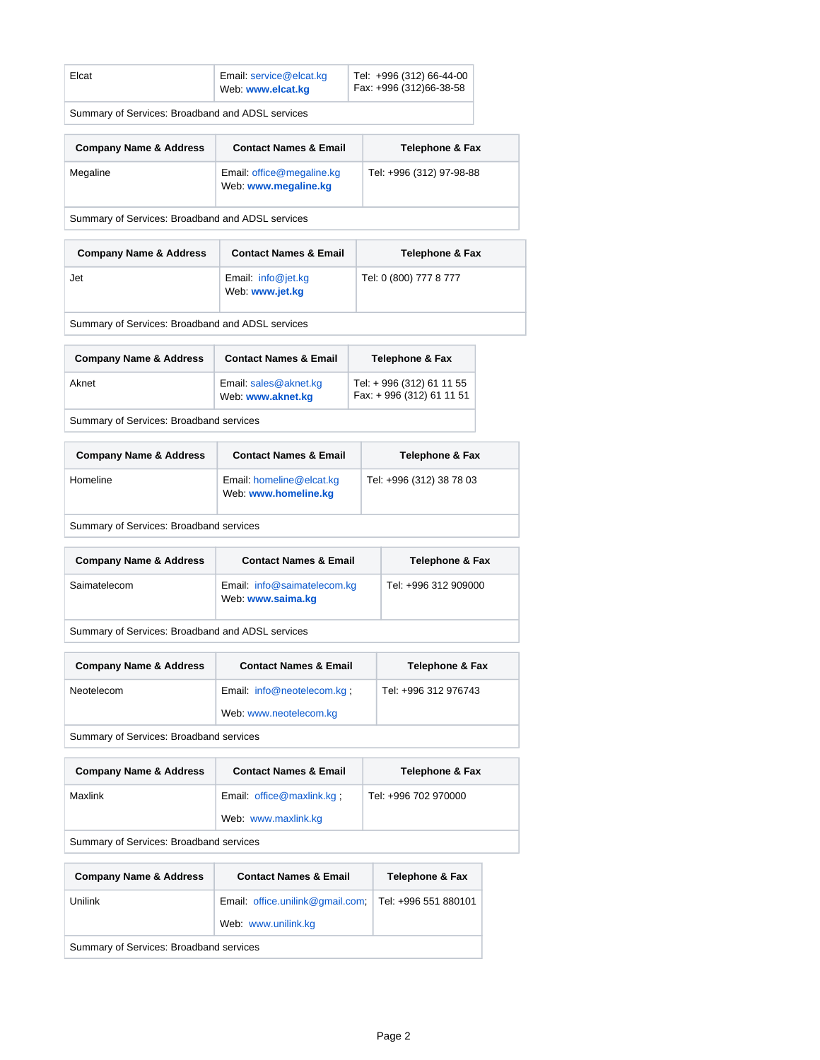| Elcat | Email: service@elcat.kg<br>Web: www.elcat.kg | Tel: +996 (312) 66-44-00<br>Fax: +996 (312)66-38-58 |
|-------|----------------------------------------------|-----------------------------------------------------|
|       |                                              |                                                     |

Summary of Services: Broadband and ADSL services

| <b>Company Name &amp; Address</b>                | <b>Contact Names &amp; Email</b>                  | <b>Telephone &amp; Fax</b> |
|--------------------------------------------------|---------------------------------------------------|----------------------------|
| Megaline                                         | Email: office@megaline.kg<br>Web: www.megaline.kg | Tel: +996 (312) 97-98-88   |
| Summary of Services: Broadband and ADSL services |                                                   |                            |

| <b>Company Name &amp; Address</b> | <b>Contact Names &amp; Email</b>        | <b>Telephone &amp; Fax</b> |
|-----------------------------------|-----------------------------------------|----------------------------|
| Jet                               | Email: $info@jet.kg$<br>Web: www.jet.kg | Tel: 0 (800) 777 8 777     |

Summary of Services: Broadband and ADSL services

| <b>Company Name &amp; Address</b> | <b>Contact Names &amp; Email</b>           | <b>Telephone &amp; Fax</b>                            |
|-----------------------------------|--------------------------------------------|-------------------------------------------------------|
| Aknet                             | Email: sales@aknet.kg<br>Web: www.aknet.kg | Tel: + 996 (312) 61 11 55<br>Fax: +996 (312) 61 11 51 |

Summary of Services: Broadband services

| <b>Company Name &amp; Address</b>       | <b>Contact Names &amp; Email</b>                 | <b>Telephone &amp; Fax</b> |
|-----------------------------------------|--------------------------------------------------|----------------------------|
| Homeline                                | Email: homeline@elcat.kg<br>Web: www.homeline.kg | Tel: +996 (312) 38 78 03   |
| Summary of Services: Broadband services |                                                  |                            |

| <b>Company Name &amp; Address</b> | <b>Contact Names &amp; Email</b>                 | Telephone & Fax      |
|-----------------------------------|--------------------------------------------------|----------------------|
| Saimatelecom                      | Email: info@saimatelecom.kg<br>Web: www.saima.kg | Tel: +996 312 909000 |

Summary of Services: Broadband and ADSL services

| <b>Company Name &amp; Address</b>       | <b>Contact Names &amp; Email</b>                     | <b>Telephone &amp; Fax</b> |
|-----------------------------------------|------------------------------------------------------|----------------------------|
| Neotelecom                              | Email: info@neotelecom.kg:<br>Web: www.neotelecom.kg | Tel: +996 312 976743       |
| Summary of Services: Broadband services |                                                      |                            |

| <b>Company Name &amp; Address</b>                    | <b>Contact Names &amp; Email</b> | <b>Telephone &amp; Fax</b> |
|------------------------------------------------------|----------------------------------|----------------------------|
| Maxlink                                              | Email: office@maxlink.kg:        | Tel: +996 702 970000       |
|                                                      | Web: www.maxlink.kg              |                            |
| Original and Constitution Direct House of a constant |                                  |                            |

Summary of Services: Broadband services

<span id="page-1-0"></span>

| <b>Company Name &amp; Address</b>       | <b>Contact Names &amp; Email</b>                        | Telephone & Fax      |
|-----------------------------------------|---------------------------------------------------------|----------------------|
| Unilink                                 | Email: office.unilink@gmail.com;<br>Web: www.unilink.kg | Tel: +996 551 880101 |
| Summary of Services: Broadband services |                                                         |                      |